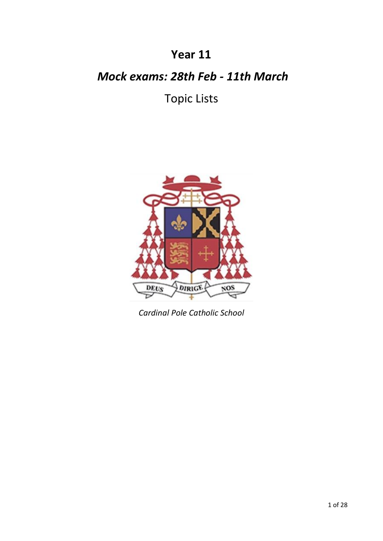# **Year 11**

# *Mock exams: 28th Feb - 11th March*

# Topic Lists



*Cardinal Pole Catholic School*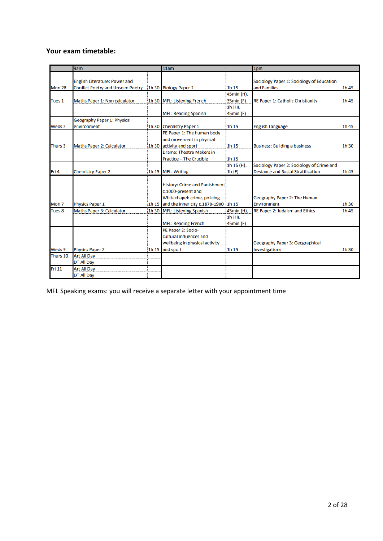# **Your exam timetable:**

|                   | 9am                                                     | 11am                                       |            | 1pm                                       |       |
|-------------------|---------------------------------------------------------|--------------------------------------------|------------|-------------------------------------------|-------|
|                   |                                                         |                                            |            |                                           |       |
|                   | <b>English Literature: Power and</b>                    |                                            |            | Sociology Paper 1: Sociology of Education |       |
| <b>Mon 28</b>     | Conflict Poetry and Unseen Poetry 1h 30 Biology Paper 2 |                                            | 1h 15      | and Families                              | 1h 45 |
|                   |                                                         |                                            | 45min (H), |                                           |       |
| Tues 1            | Maths Paper 1: Non calculator                           | 1h 30 MFL: Listening French                | 35min (F)  | RE Paper 1: Catholic Christianity         | 1h 45 |
|                   |                                                         |                                            | 1h (H),    |                                           |       |
|                   |                                                         | <b>MFL: Reading Spanish</b>                | 45min (F)  |                                           |       |
|                   | Geography Paper 1: Physical                             |                                            |            |                                           |       |
| Weds 2            | environment                                             | 1h 30 Chemistry Paper 1                    | 1h 15      | <b>English Language</b>                   | 1h 45 |
|                   |                                                         | PE Paper 1: The human body                 |            |                                           |       |
|                   |                                                         | and movement in physical                   |            |                                           |       |
| Thurs 3           | Maths Paper 2: Calculator                               | 1h 30 activity and sport                   | 1h 15      | <b>Business: Building a business</b>      | 1h 30 |
|                   |                                                         | <b>Drama: Theatre Makers in</b>            |            |                                           |       |
|                   |                                                         | Practice - The Crucible                    | 1h 15      |                                           |       |
|                   |                                                         |                                            | 1h 15 (H), | Sociology Paper 2: Sociology of Crime and |       |
| Fri 4             | <b>Chemistry Paper 2</b>                                | 1h 15 MFL: Writing                         | 1h(F)      | <b>Deviance and Social Stratification</b> | 1h 45 |
|                   |                                                         |                                            |            |                                           |       |
|                   |                                                         | History: Crime and Punishment:             |            |                                           |       |
|                   |                                                         | c.1000-present and                         |            |                                           |       |
|                   |                                                         | Whitechapel: crime, policing               |            | Geography Paper 2: The Human              |       |
| Mon <sub>7</sub>  | <b>Physics Paper 1</b>                                  | 1h 15 and the inner city c.1870-1900 1h 15 |            | Environment                               | 1h 30 |
| Tues <sub>8</sub> | Maths Paper 3: Calculator                               | 1h 30 MFL: Listening Spanish               | 45min (H), | RE Paper 2: Judaism and Ethics            | 1h 45 |
|                   |                                                         |                                            | 1h (H),    |                                           |       |
|                   |                                                         | <b>MFL: Reading French</b>                 | 45min (F)  |                                           |       |
|                   |                                                         | PE Paper 2: Socio-                         |            |                                           |       |
|                   |                                                         | cultural influences and                    |            |                                           |       |
|                   |                                                         | wellbeing in physical activity             |            | Geography Paper 3: Geographical           |       |
| Weds 9            | <b>Physics Paper 2</b>                                  | 1h 15 and sport                            | 1h 15      | Investigations                            | 1h 30 |
| Thurs 10          | <b>Art All Day</b>                                      |                                            |            |                                           |       |
|                   | <b>DT All Day</b>                                       |                                            |            |                                           |       |
| <b>Fri 11</b>     | <b>Art All Day</b>                                      |                                            |            |                                           |       |
|                   | <b>DT All Day</b>                                       |                                            |            |                                           |       |

MFL Speaking exams: you will receive a separate letter with your appointment time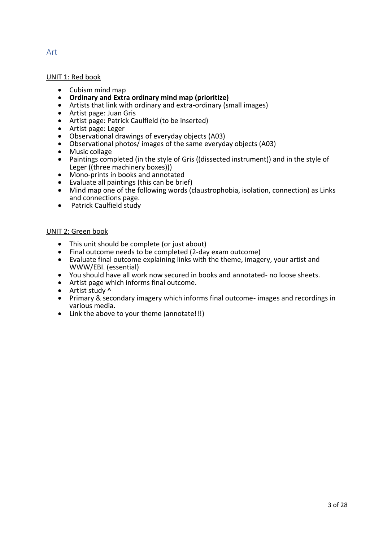#### UNIT 1: Red book

- Cubism mind map
- **Ordinary and Extra ordinary mind map (prioritize)**
- Artists that link with ordinary and extra-ordinary (small images)
- Artist page: Juan Gris
- Artist page: Patrick Caulfield (to be inserted)
- Artist page: Leger
- Observational drawings of everyday objects (A03)
- Observational photos/ images of the same everyday objects (A03)
- Music collage<br>• Paintings com
- Paintings completed (in the style of Gris ((dissected instrument)) and in the style of Leger ((three machinery boxes)))
- Mono-prints in books and annotated
- Evaluate all paintings (this can be brief)<br>• Mind map one of the following words (c
- Mind map one of the following words (claustrophobia, isolation, connection) as Links and connections page.
- Patrick Caulfield study

#### UNIT 2: Green book

- This unit should be complete (or just about)
- Final outcome needs to be completed (2-day exam outcome)
- Evaluate final outcome explaining links with the theme, imagery, your artist and WWW/EBI. (essential)
- You should have all work now secured in books and annotated- no loose sheets.
- Artist page which informs final outcome.
- Artist study ^
- Primary & secondary imagery which informs final outcome- images and recordings in various media.
- Link the above to your theme (annotate!!!)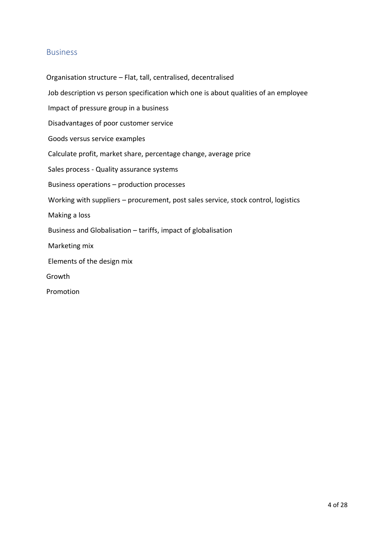## Business

Organisation structure – Flat, tall, centralised, decentralised Job description vs person specification which one is about qualities of an employee Impact of pressure group in a business Disadvantages of poor customer service Goods versus service examples Calculate profit, market share, percentage change, average price Sales process - Quality assurance systems Business operations – production processes Working with suppliers – procurement, post sales service, stock control, logistics Making a loss Business and Globalisation – tariffs, impact of globalisation Marketing mix Elements of the design mix Growth Promotion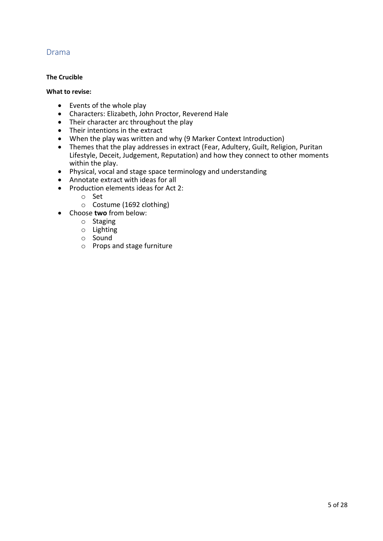# Drama

#### **The Crucible**

#### **What to revise:**

- Events of the whole play
- Characters: Elizabeth, John Proctor, Reverend Hale
- Their character arc throughout the play
- Their intentions in the extract
- When the play was written and why (9 Marker Context Introduction)
- Themes that the play addresses in extract (Fear, Adultery, Guilt, Religion, Puritan Lifestyle, Deceit, Judgement, Reputation) and how they connect to other moments within the play.
- Physical, vocal and stage space terminology and understanding
- Annotate extract with ideas for all
- Production elements ideas for Act 2:
	- o Set
	- o Costume (1692 clothing)
- Choose **two** from below:
	- o Staging
	- o Lighting
	- o Sound
	- o Props and stage furniture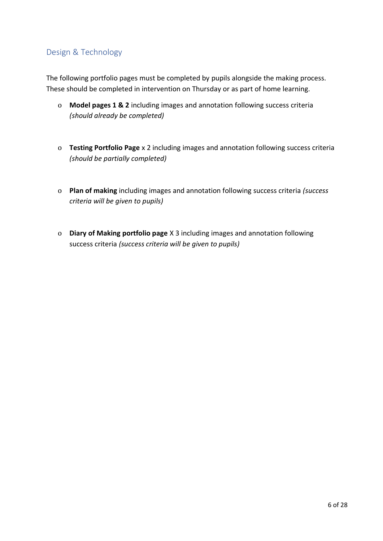# Design & Technology

The following portfolio pages must be completed by pupils alongside the making process. These should be completed in intervention on Thursday or as part of home learning.

- o **Model pages 1 & 2** including images and annotation following success criteria *(should already be completed)*
- o **Testing Portfolio Page** x 2 including images and annotation following success criteria *(should be partially completed)*
- o **Plan of making** including images and annotation following success criteria *(success criteria will be given to pupils)*
- o **Diary of Making portfolio page** X 3 including images and annotation following success criteria *(success criteria will be given to pupils)*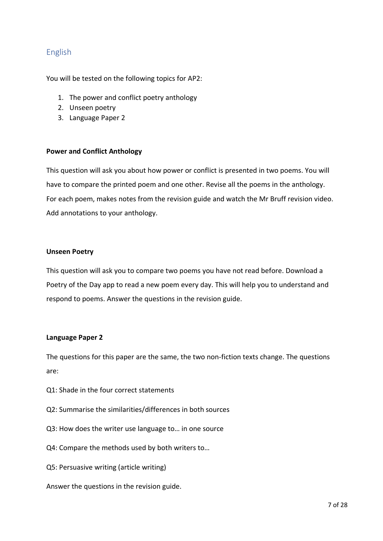# English

You will be tested on the following topics for AP2:

- 1. The power and conflict poetry anthology
- 2. Unseen poetry
- 3. Language Paper 2

#### **Power and Conflict Anthology**

This question will ask you about how power or conflict is presented in two poems. You will have to compare the printed poem and one other. Revise all the poems in the anthology. For each poem, makes notes from the revision guide and watch the Mr Bruff revision video. Add annotations to your anthology.

#### **Unseen Poetry**

This question will ask you to compare two poems you have not read before. Download a Poetry of the Day app to read a new poem every day. This will help you to understand and respond to poems. Answer the questions in the revision guide.

#### **Language Paper 2**

The questions for this paper are the same, the two non-fiction texts change. The questions are:

- Q1: Shade in the four correct statements
- Q2: Summarise the similarities/differences in both sources
- Q3: How does the writer use language to… in one source
- Q4: Compare the methods used by both writers to…
- Q5: Persuasive writing (article writing)
- Answer the questions in the revision guide.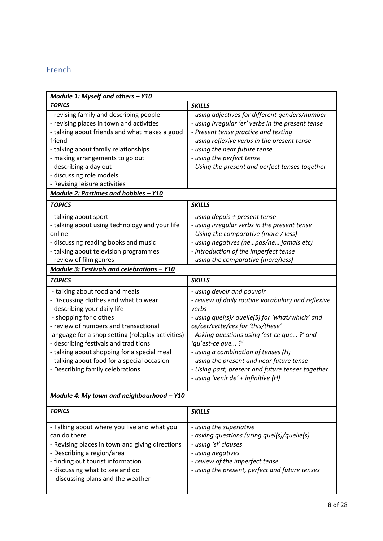# French

| Module 1: Myself and others - Y10                 |                                                    |
|---------------------------------------------------|----------------------------------------------------|
| <b>TOPICS</b>                                     | <b>SKILLS</b>                                      |
| - revising family and describing people           | - using adjectives for different genders/number    |
| - revising places in town and activities          | - using irregular 'er' verbs in the present tense  |
| - talking about friends and what makes a good     | - Present tense practice and testing               |
| friend                                            | - using reflexive verbs in the present tense       |
| - talking about family relationships              | - using the near future tense                      |
| - making arrangements to go out                   | - using the perfect tense                          |
| - describing a day out                            | - Using the present and perfect tenses together    |
| - discussing role models                          |                                                    |
| - Revising leisure activities                     |                                                    |
| Module 2: Pastimes and hobbies - Y10              |                                                    |
| <b>TOPICS</b>                                     | <b>SKILLS</b>                                      |
| - talking about sport                             | - using depuis + present tense                     |
| - talking about using technology and your life    | - using irregular verbs in the present tense       |
| online                                            | - Using the comparative (more / less)              |
| - discussing reading books and music              | - using negatives (nepas/ne jamais etc)            |
| - talking about television programmes             | - introduction of the imperfect tense              |
| - review of film genres                           | - using the comparative (more/less)                |
| Module 3: Festivals and celebrations - Y10        |                                                    |
| <b>TOPICS</b>                                     | <b>SKILLS</b>                                      |
| - talking about food and meals                    | - using devoir and pouvoir                         |
| - Discussing clothes and what to wear             | - review of daily routine vocabulary and reflexive |
| - describing your daily life                      | verbs                                              |
| - shopping for clothes                            | - using quel(s)/ quelle(S) for 'what/which' and    |
| - review of numbers and transactional             | ce/cet/cette/ces for 'this/these'                  |
| language for a shop setting (roleplay activities) | - Asking questions using 'est-ce que?' and         |
| - describing festivals and traditions             | 'qu'est-ce que?'                                   |
| - talking about shopping for a special meal       | - using a combination of tenses (H)                |
| - talking about food for a special occasion       | - using the present and near future tense          |
| - Describing family celebrations                  | - Using past, present and future tenses together   |
|                                                   | - using 'venir de' + infinitive (H)                |
| Module 4: My town and neighbourhood - Y10         |                                                    |
|                                                   |                                                    |
| <b>TOPICS</b>                                     | <b>SKILLS</b>                                      |
| - Talking about where you live and what you       | - using the superlative                            |
| can do there                                      | - asking questions (using quel(s)/quelle(s)        |
| - Revising places in town and giving directions   | - using 'si' clauses                               |
| - Describing a region/area                        | - using negatives                                  |
| - finding out tourist information                 | - review of the imperfect tense                    |
| - discussing what to see and do                   | - using the present, perfect and future tenses     |
| - discussing plans and the weather                |                                                    |
|                                                   |                                                    |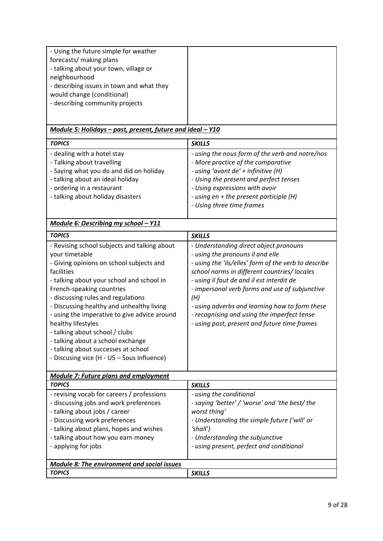| - Using the future simple for weather<br>forecasts/ making plans<br>- talking about your town, village or<br>neighbourhood<br>- describing issues in town and what they                                                                                                                                                                                                                                                                                                                                                 |                                                                                                                                                                                                                                                                                                                                                                                                                                           |
|-------------------------------------------------------------------------------------------------------------------------------------------------------------------------------------------------------------------------------------------------------------------------------------------------------------------------------------------------------------------------------------------------------------------------------------------------------------------------------------------------------------------------|-------------------------------------------------------------------------------------------------------------------------------------------------------------------------------------------------------------------------------------------------------------------------------------------------------------------------------------------------------------------------------------------------------------------------------------------|
| would change (conditional)<br>- describing community projects                                                                                                                                                                                                                                                                                                                                                                                                                                                           |                                                                                                                                                                                                                                                                                                                                                                                                                                           |
| Module 5: Holidays - past, present, future and ideal - Y10                                                                                                                                                                                                                                                                                                                                                                                                                                                              |                                                                                                                                                                                                                                                                                                                                                                                                                                           |
| <b>TOPICS</b>                                                                                                                                                                                                                                                                                                                                                                                                                                                                                                           | <b>SKILLS</b>                                                                                                                                                                                                                                                                                                                                                                                                                             |
| - dealing with a hotel stay<br>- Talking about travelling<br>- Saying what you do and did on holiday<br>- talking about an ideal holiday<br>- ordering in a restaurant<br>- talking about holiday disasters                                                                                                                                                                                                                                                                                                             | - using the nous form of the verb and notre/nos<br>- More practice of the comparative<br>- using 'avant de' + infinitive (H)<br>- Using the present and perfect tenses<br>- Using expressions with avoir<br>- using en + the present participle (H)<br>- Using three time frames                                                                                                                                                          |
| Module 6: Describing my school - Y11                                                                                                                                                                                                                                                                                                                                                                                                                                                                                    |                                                                                                                                                                                                                                                                                                                                                                                                                                           |
| <b>TOPICS</b>                                                                                                                                                                                                                                                                                                                                                                                                                                                                                                           | <b>SKILLS</b>                                                                                                                                                                                                                                                                                                                                                                                                                             |
| - Revising school subjects and talking about<br>your timetable<br>- Giving opinions on school subjects and<br>facilities<br>- talking about your school and school in<br>French-speaking countries<br>- discussing rules and regulations<br>- Discussing healthy and unhealthy living<br>- using the imperative to give advice around<br>healthy lifestyles<br>- talking about school / clubs<br>- talking about a school exchange<br>- talking about successes at school<br>- Discusing vice (H - U5 - Sous Influence) | - Understanding direct object pronouns<br>- using the pronouns il and elle<br>- using the 'ils/elles' form of the verb to describe<br>school norms in different countries/ locales<br>- using il faut de and il est interdit de<br>- impersonal verb forms and use of subjunctive<br>(H)<br>- using adverbs and learning how to form these<br>- recognising and using the imperfect tense<br>- using past, present and future time frames |
| <b>Module 7: Future plans and employment</b>                                                                                                                                                                                                                                                                                                                                                                                                                                                                            |                                                                                                                                                                                                                                                                                                                                                                                                                                           |
| <b>TOPICS</b>                                                                                                                                                                                                                                                                                                                                                                                                                                                                                                           | <b>SKILLS</b>                                                                                                                                                                                                                                                                                                                                                                                                                             |
| - revising vocab for careers / professions<br>- discussing jobs and work preferences<br>- talking about jobs / career<br>- Discussing work preferences<br>- talking about plans, hopes and wishes<br>- talking about how you earn money<br>- applying for jobs                                                                                                                                                                                                                                                          | - using the conditional<br>- saying 'better' / 'worse' and 'the best/ the<br>worst thing'<br>- Understanding the simple future ('will' or<br>'shall')<br>- Understanding the subjunctive<br>- using present, perfect and conditional                                                                                                                                                                                                      |
| <b>Module 8: The environment and social issues</b>                                                                                                                                                                                                                                                                                                                                                                                                                                                                      |                                                                                                                                                                                                                                                                                                                                                                                                                                           |
| <b>TOPICS</b>                                                                                                                                                                                                                                                                                                                                                                                                                                                                                                           | <b>SKILLS</b>                                                                                                                                                                                                                                                                                                                                                                                                                             |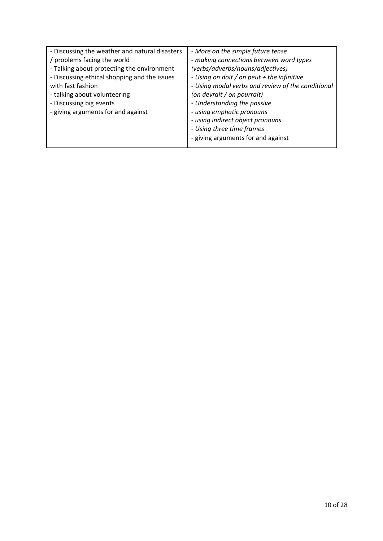| - Discussing the weather and natural disasters<br>/ problems facing the world<br>- Talking about protecting the environment<br>- Discussing ethical shopping and the issues<br>with fast fashion<br>- talking about volunteering<br>- Discussing big events<br>- giving arguments for and against | - More on the simple future tense<br>- making connections between word types<br>(verbs/adverbs/nouns/adjectives)<br>- Using on doit / on peut + the infinitive<br>- Using modal verbs and review of the conditional<br>(on devrait / on pourrait)<br>- Understanding the passive<br>- using emphatic pronouns<br>- using indirect object pronouns<br>- Using three time frames |
|---------------------------------------------------------------------------------------------------------------------------------------------------------------------------------------------------------------------------------------------------------------------------------------------------|--------------------------------------------------------------------------------------------------------------------------------------------------------------------------------------------------------------------------------------------------------------------------------------------------------------------------------------------------------------------------------|
|                                                                                                                                                                                                                                                                                                   | - giving arguments for and against                                                                                                                                                                                                                                                                                                                                             |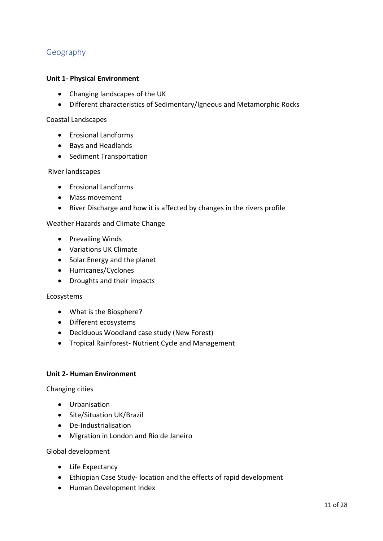# Geography

#### **Unit 1- Physical Environment**

- Changing landscapes of the UK
- Different characteristics of Sedimentary/Igneous and Metamorphic Rocks

#### Coastal Landscapes

- Erosional Landforms
- Bays and Headlands
- Sediment Transportation

#### River landscapes

- Erosional Landforms
- Mass movement
- River Discharge and how it is affected by changes in the rivers profile

#### Weather Hazards and Climate Change

- Prevailing Winds
- Variations UK Climate
- Solar Energy and the planet
- Hurricanes/Cyclones
- Droughts and their impacts

#### Ecosystems

- What is the Biosphere?
- Different ecosystems
- Deciduous Woodland case study (New Forest)
- Tropical Rainforest- Nutrient Cycle and Management

#### **Unit 2- Human Environment**

Changing cities

- Urbanisation
- Site/Situation UK/Brazil
- De-Industrialisation
- Migration in London and Rio de Janeiro

Global development

- Life Expectancy
- Ethiopian Case Study- location and the effects of rapid development
- Human Development Index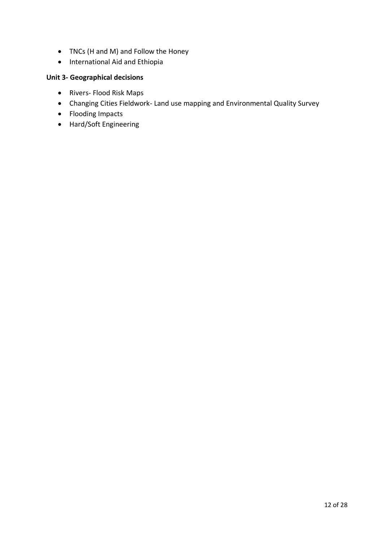- TNCs (H and M) and Follow the Honey
- International Aid and Ethiopia

# **Unit 3- Geographical decisions**

- Rivers- Flood Risk Maps
- Changing Cities Fieldwork- Land use mapping and Environmental Quality Survey
- Flooding Impacts
- Hard/Soft Engineering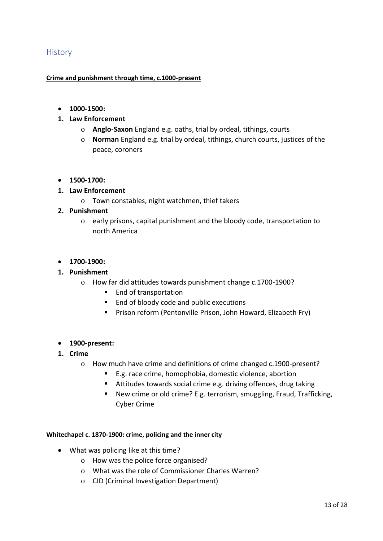## **History**

#### **Crime and punishment through time, c.1000-present**

- **1000-1500:**
- **1. Law Enforcement**
	- o **Anglo-Saxon** England e.g. oaths, trial by ordeal, tithings, courts
	- o **Norman** England e.g. trial by ordeal, tithings, church courts, justices of the peace, coroners
- **1500-1700:**
- **1. Law Enforcement**
	- o Town constables, night watchmen, thief takers
- **2. Punishment**
	- o early prisons, capital punishment and the bloody code, transportation to north America
- **1700-1900:**

#### **1. Punishment**

- o How far did attitudes towards punishment change c.1700-1900?
	- End of transportation
	- End of bloody code and public executions
	- Prison reform (Pentonville Prison, John Howard, Elizabeth Fry)

#### • **1900-present:**

- **1. Crime**
	- o How much have crime and definitions of crime changed c.1900-present?
		- E.g. race crime, homophobia, domestic violence, abortion
		- Attitudes towards social crime e.g. driving offences, drug taking
		- New crime or old crime? E.g. terrorism, smuggling, Fraud, Trafficking, Cyber Crime

**Whitechapel c. 1870-1900: crime, policing and the inner city**

- What was policing like at this time?
	- o How was the police force organised?
	- o What was the role of Commissioner Charles Warren?
	- o CID (Criminal Investigation Department)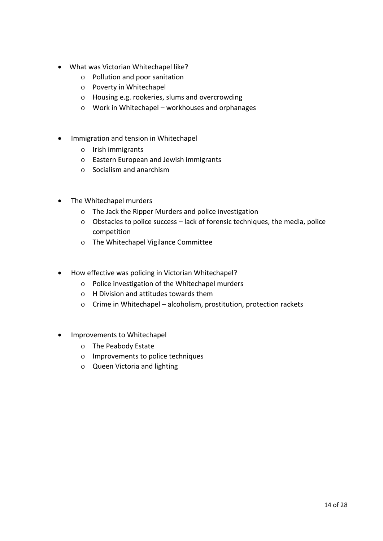- What was Victorian Whitechapel like?
	- o Pollution and poor sanitation
	- o Poverty in Whitechapel
	- o Housing e.g. rookeries, slums and overcrowding
	- o Work in Whitechapel workhouses and orphanages
- Immigration and tension in Whitechapel
	- o Irish immigrants
	- o Eastern European and Jewish immigrants
	- o Socialism and anarchism
- The Whitechapel murders
	- o The Jack the Ripper Murders and police investigation
	- o Obstacles to police success lack of forensic techniques, the media, police competition
	- o The Whitechapel Vigilance Committee
- How effective was policing in Victorian Whitechapel?
	- o Police investigation of the Whitechapel murders
	- o H Division and attitudes towards them
	- o Crime in Whitechapel alcoholism, prostitution, protection rackets
- Improvements to Whitechapel
	- o The Peabody Estate
	- o Improvements to police techniques
	- o Queen Victoria and lighting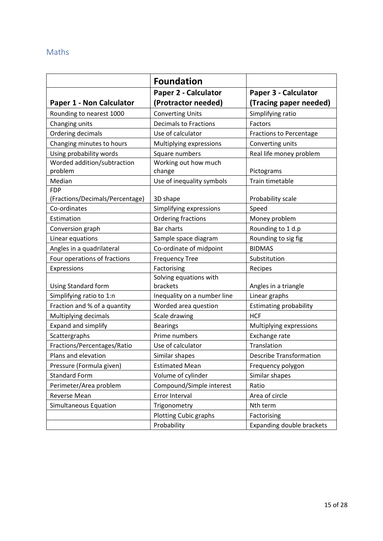# Maths

|                                 | <b>Foundation</b>            |                                  |
|---------------------------------|------------------------------|----------------------------------|
|                                 | Paper 2 - Calculator         | Paper 3 - Calculator             |
| Paper 1 - Non Calculator        | (Protractor needed)          | (Tracing paper needed)           |
| Rounding to nearest 1000        | <b>Converting Units</b>      | Simplifying ratio                |
| Changing units                  | <b>Decimals to Fractions</b> | Factors                          |
| Ordering decimals               | Use of calculator            | <b>Fractions to Percentage</b>   |
| Changing minutes to hours       | Multiplying expressions      | Converting units                 |
| Using probability words         | Square numbers               | Real life money problem          |
| Worded addition/subtraction     | Working out how much         |                                  |
| problem                         | change                       | Pictograms                       |
| Median                          | Use of inequality symbols    | Train timetable                  |
| <b>FDP</b>                      |                              |                                  |
| (Fractions/Decimals/Percentage) | 3D shape                     | Probability scale                |
| Co-ordinates                    | Simplifying expressions      | Speed                            |
| Estimation                      | Ordering fractions           | Money problem                    |
| Conversion graph                | <b>Bar charts</b>            | Rounding to 1 d.p                |
| Linear equations                | Sample space diagram         | Rounding to sig fig              |
| Angles in a quadrilateral       | Co-ordinate of midpoint      | <b>BIDMAS</b>                    |
| Four operations of fractions    | <b>Frequency Tree</b>        | Substitution                     |
| Expressions                     | Factorising                  | Recipes                          |
|                                 | Solving equations with       |                                  |
| Using Standard form             | brackets                     | Angles in a triangle             |
| Simplifying ratio to 1:n        | Inequality on a number line  | Linear graphs                    |
| Fraction and % of a quantity    | Worded area question         | <b>Estimating probability</b>    |
| Multiplying decimals            | Scale drawing                | <b>HCF</b>                       |
| <b>Expand and simplify</b>      | <b>Bearings</b>              | Multiplying expressions          |
| Scattergraphs                   | Prime numbers                | Exchange rate                    |
| Fractions/Percentages/Ratio     | Use of calculator            | Translation                      |
| Plans and elevation             | Similar shapes               | <b>Describe Transformation</b>   |
| Pressure (Formula given)        | <b>Estimated Mean</b>        | Frequency polygon                |
| <b>Standard Form</b>            | Volume of cylinder           | Similar shapes                   |
| Perimeter/Area problem          | Compound/Simple interest     | Ratio                            |
| <b>Reverse Mean</b>             | Error Interval               | Area of circle                   |
| Simultaneous Equation           | Trigonometry                 | Nth term                         |
|                                 | <b>Plotting Cubic graphs</b> | Factorising                      |
|                                 | Probability                  | <b>Expanding double brackets</b> |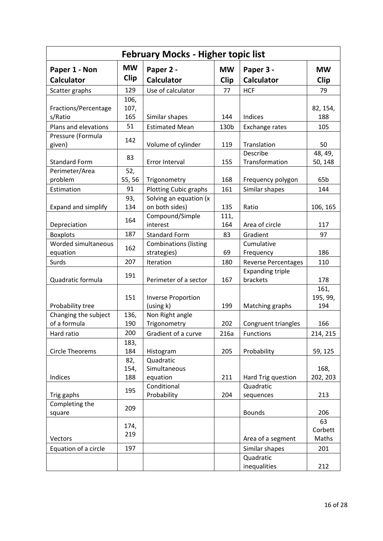|                                    |                          | <b>February Mocks - Higher topic list</b>   |                          |                                     |                          |
|------------------------------------|--------------------------|---------------------------------------------|--------------------------|-------------------------------------|--------------------------|
| Paper 1 - Non<br><b>Calculator</b> | <b>MW</b><br><b>Clip</b> | Paper 2 -<br><b>Calculator</b>              | <b>MW</b><br><b>Clip</b> | Paper 3 -<br><b>Calculator</b>      | <b>MW</b><br><b>Clip</b> |
| Scatter graphs                     | 129                      | Use of calculator                           | 77                       | <b>HCF</b>                          | 79                       |
| Fractions/Percentage<br>s/Ratio    | 106,<br>107,<br>165      | Similar shapes                              | 144                      | Indices                             | 82, 154,<br>188          |
| Plans and elevations               | 51                       | <b>Estimated Mean</b>                       | 130b                     | Exchange rates                      | 105                      |
| Pressure (Formula<br>given)        | 142                      | Volume of cylinder                          | 119                      | Translation                         | 50                       |
| <b>Standard Form</b>               | 83                       | Error Interval                              | 155                      | Describe<br>Transformation          | 48, 49,<br>50, 148       |
| Perimeter/Area<br>problem          | 52,<br>55, 56            | Trigonometry                                | 168                      | Frequency polygon                   | 65 <sub>b</sub>          |
| Estimation                         | 91                       | <b>Plotting Cubic graphs</b>                | 161                      | Similar shapes                      | 144                      |
| <b>Expand and simplify</b>         | 93,<br>134               | Solving an equation (x<br>on both sides)    | 135                      | Ratio                               | 106, 165                 |
| Depreciation                       | 164                      | Compound/Simple<br>interest                 | 111,<br>164              | Area of circle                      | 117                      |
| <b>Boxplots</b>                    | 187                      | <b>Standard Form</b>                        | 83                       | Gradient                            | 97                       |
| Worded simultaneous<br>equation    | 162                      | <b>Combinations (listing</b><br>strategies) | 69                       | Cumulative<br>Frequency             | 186                      |
| Surds                              | 207                      | Iteration                                   | 180                      | <b>Reverse Percentages</b>          | 110                      |
| Quadratic formula                  | 191                      | Perimeter of a sector                       | 167                      | <b>Expanding triple</b><br>brackets | 178                      |
| Probability tree                   | 151                      | <b>Inverse Proportion</b><br>(using k)      | 199                      | Matching graphs                     | 161,<br>195, 99,<br>194  |
| Changing the subject               | 136,                     | Non Right angle                             |                          |                                     |                          |
| of a formula                       | 190                      | Trigonometry                                | 202                      | Congruent triangles                 | 166                      |
| Hard ratio                         | 200                      | Gradient of a curve                         | 216a                     | Functions                           | 214, 215                 |
|                                    | 183,                     |                                             |                          |                                     |                          |
| <b>Circle Theorems</b>             | 184                      | Histogram                                   | 205                      | Probability                         | 59, 125                  |
|                                    | 82,                      | Quadratic                                   |                          |                                     |                          |
|                                    | 154,                     | Simultaneous                                |                          |                                     | 168,                     |
| Indices                            | 188                      | equation                                    | 211                      | Hard Trig question                  | 202, 203                 |
| Trig gaphs                         | 195                      | Conditional<br>Probability                  | 204                      | Quadratic<br>sequences              | 213                      |
| Completing the<br>square           | 209                      |                                             |                          | <b>Bounds</b>                       | 206                      |
|                                    |                          |                                             |                          |                                     | 63                       |
|                                    | 174,<br>219              |                                             |                          |                                     | Corbett                  |
| Vectors                            |                          |                                             |                          | Area of a segment                   | Maths                    |
| Equation of a circle               | 197                      |                                             |                          | Similar shapes                      | 201                      |
|                                    |                          |                                             |                          | Quadratic                           |                          |
|                                    |                          |                                             |                          | inequalities                        | 212                      |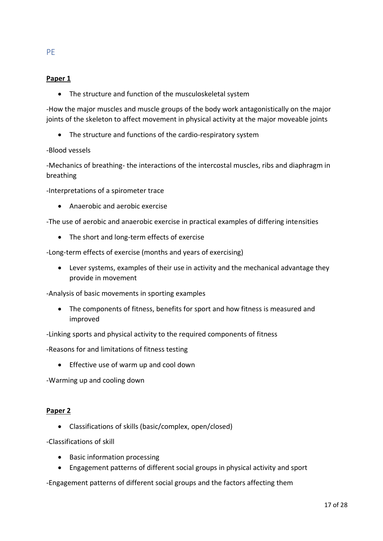## **Paper 1**

PE

• The structure and function of the musculoskeletal system

-How the major muscles and muscle groups of the body work antagonistically on the major joints of the skeleton to affect movement in physical activity at the major moveable joints

• The structure and functions of the cardio-respiratory system

#### -Blood vessels

-Mechanics of breathing- the interactions of the intercostal muscles, ribs and diaphragm in breathing

-Interpretations of a spirometer trace

• Anaerobic and aerobic exercise

-The use of aerobic and anaerobic exercise in practical examples of differing intensities

• The short and long-term effects of exercise

-Long-term effects of exercise (months and years of exercising)

• Lever systems, examples of their use in activity and the mechanical advantage they provide in movement

-Analysis of basic movements in sporting examples

- The components of fitness, benefits for sport and how fitness is measured and improved
- -Linking sports and physical activity to the required components of fitness
- -Reasons for and limitations of fitness testing
	- Effective use of warm up and cool down

-Warming up and cooling down

#### **Paper 2**

• Classifications of skills (basic/complex, open/closed)

-Classifications of skill

- Basic information processing
- Engagement patterns of different social groups in physical activity and sport

-Engagement patterns of different social groups and the factors affecting them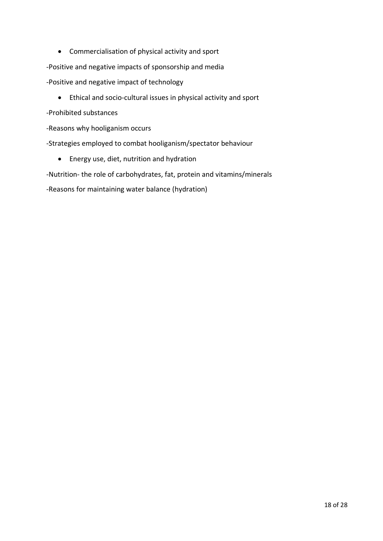• Commercialisation of physical activity and sport

-Positive and negative impacts of sponsorship and media

- -Positive and negative impact of technology
	- Ethical and socio-cultural issues in physical activity and sport
- -Prohibited substances
- -Reasons why hooliganism occurs
- -Strategies employed to combat hooliganism/spectator behaviour
	- Energy use, diet, nutrition and hydration

-Nutrition- the role of carbohydrates, fat, protein and vitamins/minerals

-Reasons for maintaining water balance (hydration)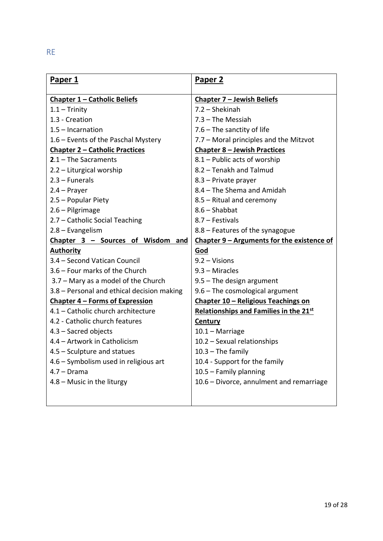| Paper 1                                    | Paper <sub>2</sub>                         |
|--------------------------------------------|--------------------------------------------|
| <b>Chapter 1 - Catholic Beliefs</b>        | <b>Chapter 7 - Jewish Beliefs</b>          |
| $1.1 - Trinity$                            | 7.2 - Shekinah                             |
| 1.3 - Creation                             | $7.3$ – The Messiah                        |
| $1.5$ – Incarnation                        | $7.6$ – The sanctity of life               |
| 1.6 – Events of the Paschal Mystery        | 7.7 - Moral principles and the Mitzvot     |
| <b>Chapter 2 - Catholic Practices</b>      | <b>Chapter 8 - Jewish Practices</b>        |
| $2.1 -$ The Sacraments                     | 8.1 - Public acts of worship               |
| 2.2 - Liturgical worship                   | 8.2 - Tenakh and Talmud                    |
| $2.3 - Funerals$                           | 8.3 - Private prayer                       |
| $2.4 -$ Prayer                             | 8.4 - The Shema and Amidah                 |
| 2.5 - Popular Piety                        | 8.5 - Ritual and ceremony                  |
| 2.6 - Pilgrimage                           | $8.6 - Shabbat$                            |
| 2.7 - Catholic Social Teaching             | 8.7 – Festivals                            |
| 2.8 - Evangelism                           | 8.8 - Features of the synagogue            |
| Chapter 3 - Sources of Wisdom and          | Chapter 9 - Arguments for the existence of |
| <b>Authority</b>                           | God                                        |
| 3.4 - Second Vatican Council               | $9.2 - Visions$                            |
| 3.6 - Four marks of the Church             | $9.3 -$ Miracles                           |
| 3.7 - Mary as a model of the Church        | $9.5$ – The design argument                |
| 3.8 – Personal and ethical decision making | $9.6$ – The cosmological argument          |
| <b>Chapter 4 - Forms of Expression</b>     | Chapter 10 - Religious Teachings on        |
| 4.1 - Catholic church architecture         | Relationships and Families in the 21st     |
| 4.2 - Catholic church features             | <b>Century</b>                             |
| 4.3 - Sacred objects                       | $10.1 -$ Marriage                          |
| 4.4 - Artwork in Catholicism               | 10.2 - Sexual relationships                |
| 4.5 - Sculpture and statues                | $10.3 -$ The family                        |
| 4.6 - Symbolism used in religious art      | 10.4 - Support for the family              |
| $4.7 - Drama$                              | 10.5 - Family planning                     |
| $4.8$ – Music in the liturgy               | 10.6 - Divorce, annulment and remarriage   |
|                                            |                                            |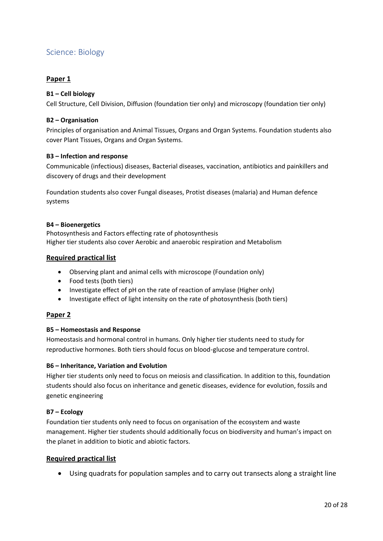# Science: Biology

#### **Paper 1**

#### **B1 – Cell biology**

Cell Structure, Cell Division, Diffusion (foundation tier only) and microscopy (foundation tier only)

#### **B2 – Organisation**

Principles of organisation and Animal Tissues, Organs and Organ Systems. Foundation students also cover Plant Tissues, Organs and Organ Systems.

#### **B3 – Infection and response**

Communicable (infectious) diseases, Bacterial diseases, vaccination, antibiotics and painkillers and discovery of drugs and their development

Foundation students also cover Fungal diseases, Protist diseases (malaria) and Human defence systems

#### **B4 – Bioenergetics**

Photosynthesis and Factors effecting rate of photosynthesis Higher tier students also cover Aerobic and anaerobic respiration and Metabolism

#### **Required practical list**

- Observing plant and animal cells with microscope (Foundation only)
- Food tests (both tiers)
- Investigate effect of pH on the rate of reaction of amylase (Higher only)
- Investigate effect of light intensity on the rate of photosynthesis (both tiers)

#### **Paper 2**

#### **B5 – Homeostasis and Response**

Homeostasis and hormonal control in humans. Only higher tier students need to study for reproductive hormones. Both tiers should focus on blood-glucose and temperature control.

#### **B6 – Inheritance, Variation and Evolution**

Higher tier students only need to focus on meiosis and classification. In addition to this, foundation students should also focus on inheritance and genetic diseases, evidence for evolution, fossils and genetic engineering

#### **B7 – Ecology**

Foundation tier students only need to focus on organisation of the ecosystem and waste management. Higher tier students should additionally focus on biodiversity and human's impact on the planet in addition to biotic and abiotic factors.

#### **Required practical list**

• Using quadrats for population samples and to carry out transects along a straight line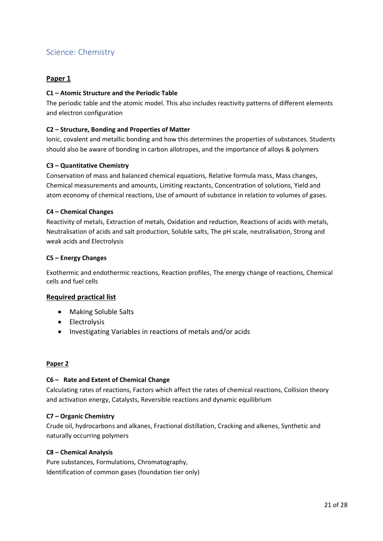# Science: Chemistry

#### **Paper 1**

#### **C1 – Atomic Structure and the Periodic Table**

The periodic table and the atomic model. This also includes reactivity patterns of different elements and electron configuration

#### **C2 – Structure, Bonding and Properties of Matter**

Ionic, covalent and metallic bonding and how this determines the properties of substances. Students should also be aware of bonding in carbon allotropes, and the importance of alloys & polymers

#### **C3 – Quantitative Chemistry**

Conservation of mass and balanced chemical equations, Relative formula mass, Mass changes, Chemical measurements and amounts, Limiting reactants, Concentration of solutions, Yield and atom economy of chemical reactions, Use of amount of substance in relation to volumes of gases.

#### **C4 – Chemical Changes**

Reactivity of metals, Extraction of metals, Oxidation and reduction, Reactions of acids with metals, Neutralisation of acids and salt production, Soluble salts, The pH scale, neutralisation, Strong and weak acids and Electrolysis

#### **C5 – Energy Changes**

Exothermic and endothermic reactions, Reaction profiles, The energy change of reactions, Chemical cells and fuel cells

#### **Required practical list**

- Making Soluble Salts
- Electrolysis
- Investigating Variables in reactions of metals and/or acids

#### **Paper 2**

#### **C6 – Rate and Extent of Chemical Change**

Calculating rates of reactions, Factors which affect the rates of chemical reactions, Collision theory and activation energy, Catalysts, Reversible reactions and dynamic equilibrium

#### **C7 – Organic Chemistry**

Crude oil, hydrocarbons and alkanes, Fractional distillation, Cracking and alkenes, Synthetic and naturally occurring polymers

#### **C8 – Chemical Analysis**

Pure substances, Formulations, Chromatography, Identification of common gases (foundation tier only)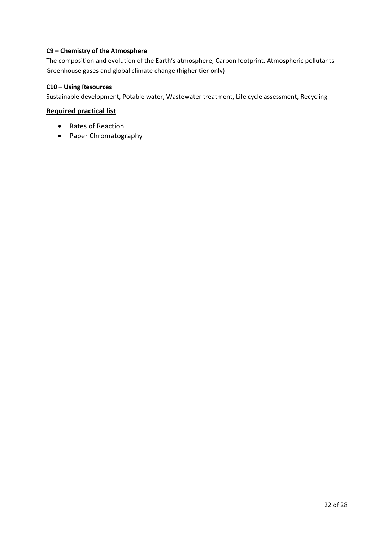#### **C9 – Chemistry of the Atmosphere**

The composition and evolution of the Earth's atmosphere, Carbon footprint, Atmospheric pollutants Greenhouse gases and global climate change (higher tier only)

#### **C10 – Using Resources**

Sustainable development, Potable water, Wastewater treatment, Life cycle assessment, Recycling

#### **Required practical list**

- Rates of Reaction
- Paper Chromatography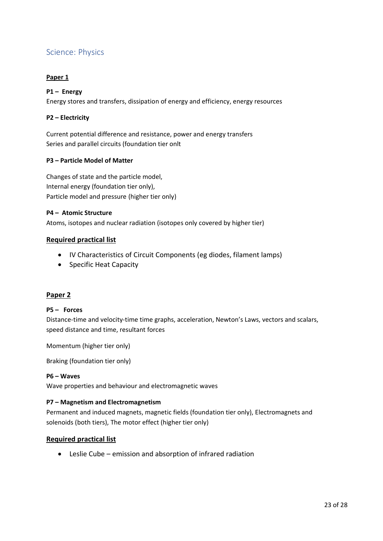# Science: Physics

#### **Paper 1**

#### **P1 – Energy**

Energy stores and transfers, dissipation of energy and efficiency, energy resources

#### **P2 – Electricity**

Current potential difference and resistance, power and energy transfers Series and parallel circuits (foundation tier onlt

#### **P3 – Particle Model of Matter**

Changes of state and the particle model, Internal energy (foundation tier only), Particle model and pressure (higher tier only)

#### **P4 – Atomic Structure**

Atoms, isotopes and nuclear radiation (isotopes only covered by higher tier)

#### **Required practical list**

- IV Characteristics of Circuit Components (eg diodes, filament lamps)
- Specific Heat Capacity

#### **Paper 2**

#### **P5 – Forces**

Distance-time and velocity-time time graphs, acceleration, Newton's Laws, vectors and scalars, speed distance and time, resultant forces

Momentum (higher tier only)

Braking (foundation tier only)

#### **P6 – Waves**

Wave properties and behaviour and electromagnetic waves

#### **P7 – Magnetism and Electromagnetism**

Permanent and induced magnets, magnetic fields (foundation tier only), Electromagnets and solenoids (both tiers), The motor effect (higher tier only)

#### **Required practical list**

• Leslie Cube – emission and absorption of infrared radiation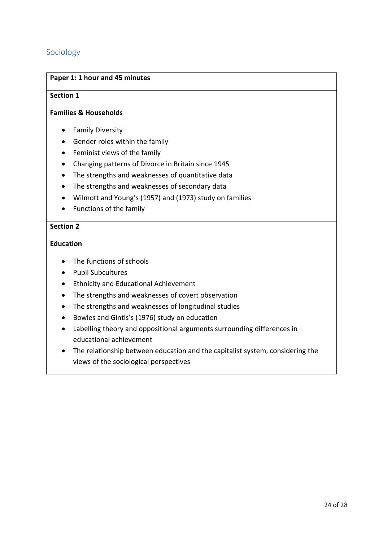# Sociology

#### **Paper 1: 1 hour and 45 minutes**

#### **Section 1**

#### **Families & Households**

- Family Diversity
- Gender roles within the family
- Feminist views of the family
- Changing patterns of Divorce in Britain since 1945
- The strengths and weaknesses of quantitative data
- The strengths and weaknesses of secondary data
- Wilmott and Young's (1957) and (1973) study on families
- Functions of the family

### **Section 2**

#### **Education**

- The functions of schools
- Pupil Subcultures
- Ethnicity and Educational Achievement
- The strengths and weaknesses of covert observation
- The strengths and weaknesses of longitudinal studies
- Bowles and Gintis's (1976) study on education
- Labelling theory and oppositional arguments surrounding differences in educational achievement
- The relationship between education and the capitalist system, considering the views of the sociological perspectives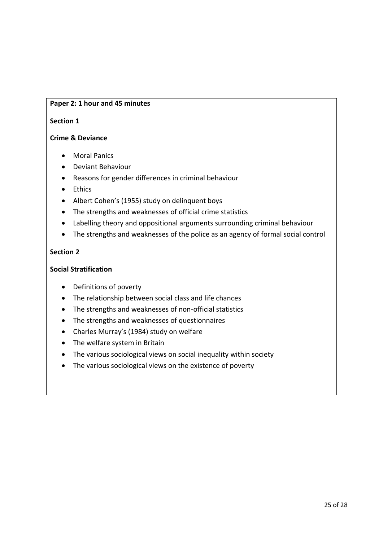### **Paper 2: 1 hour and 45 minutes**

#### **Section 1**

#### **Crime & Deviance**

- Moral Panics
- Deviant Behaviour
- Reasons for gender differences in criminal behaviour
- Ethics
- Albert Cohen's (1955) study on delinquent boys
- The strengths and weaknesses of official crime statistics
- Labelling theory and oppositional arguments surrounding criminal behaviour
- The strengths and weaknesses of the police as an agency of formal social control

#### **Section 2**

#### **Social Stratification**

- Definitions of poverty
- The relationship between social class and life chances
- The strengths and weaknesses of non-official statistics
- The strengths and weaknesses of questionnaires
- Charles Murray's (1984) study on welfare
- The welfare system in Britain
- The various sociological views on social inequality within society
- The various sociological views on the existence of poverty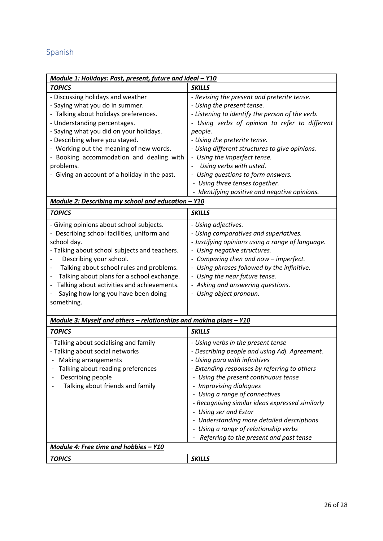# Spanish

| Module 1: Holidays: Past, present, future and ideal - Y10                                                                                                                                                                                                                                                                                                                       |                                                                                                                                                                                                                                                                                                                                                                                                                                                                                           |
|---------------------------------------------------------------------------------------------------------------------------------------------------------------------------------------------------------------------------------------------------------------------------------------------------------------------------------------------------------------------------------|-------------------------------------------------------------------------------------------------------------------------------------------------------------------------------------------------------------------------------------------------------------------------------------------------------------------------------------------------------------------------------------------------------------------------------------------------------------------------------------------|
| <b>TOPICS</b>                                                                                                                                                                                                                                                                                                                                                                   | <b>SKILLS</b>                                                                                                                                                                                                                                                                                                                                                                                                                                                                             |
| - Discussing holidays and weather<br>- Saying what you do in summer.<br>- Talking about holidays preferences.<br>- Understanding percentages.<br>- Saying what you did on your holidays.<br>- Describing where you stayed.<br>- Working out the meaning of new words.<br>- Booking accommodation and dealing with<br>problems.<br>- Giving an account of a holiday in the past. | - Revising the present and preterite tense.<br>- Using the present tense.<br>- Listening to identify the person of the verb.<br>Using verbs of opinion to refer to different<br>people.<br>- Using the preterite tense.<br>- Using different structures to give opinions.<br>- Using the imperfect tense.<br>Using verbs with usted.<br>- Using questions to form answers.<br>- Using three tenses together.<br>- Identifying positive and negative opinions.                             |
| Module 2: Describing my school and education - Y10                                                                                                                                                                                                                                                                                                                              |                                                                                                                                                                                                                                                                                                                                                                                                                                                                                           |
| <b>TOPICS</b>                                                                                                                                                                                                                                                                                                                                                                   | <b>SKILLS</b>                                                                                                                                                                                                                                                                                                                                                                                                                                                                             |
| - Giving opinions about school subjects.<br>- Describing school facilities, uniform and<br>school day.<br>- Talking about school subjects and teachers.<br>Describing your school.<br>Talking about school rules and problems.<br>Talking about plans for a school exchange.<br>Talking about activities and achievements.<br>Saying how long you have been doing<br>something. | - Using adjectives.<br>- Using comparatives and superlatives.<br>- Justifying opinions using a range of language.<br>- Using negative structures.<br>- Comparing then and now - imperfect.<br>- Using phrases followed by the infinitive.<br>- Using the near future tense.<br>- Asking and answering questions.<br>- Using object pronoun.                                                                                                                                               |
| Module 3: Myself and others - relationships and making plans - Y10                                                                                                                                                                                                                                                                                                              |                                                                                                                                                                                                                                                                                                                                                                                                                                                                                           |
| <b>TOPICS</b>                                                                                                                                                                                                                                                                                                                                                                   | <b>SKILLS</b>                                                                                                                                                                                                                                                                                                                                                                                                                                                                             |
| - Talking about socialising and family<br>- Talking about social networks<br>- Making arrangements<br>Talking about reading preferences<br>Describing people<br>Talking about friends and family                                                                                                                                                                                | - Using verbs in the present tense<br>- Describing people and using Adj. Agreement.<br>- Using para with infinitives<br>- Extending responses by referring to others<br>- Using the present continuous tense<br>- Improvising dialogues<br>- Using a range of connectives<br>- Recognising similar ideas expressed similarly<br>- Using ser and Estar<br>- Understanding more detailed descriptions<br>- Using a range of relationship verbs<br>- Referring to the present and past tense |
| Module 4: Free time and hobbies - Y10                                                                                                                                                                                                                                                                                                                                           |                                                                                                                                                                                                                                                                                                                                                                                                                                                                                           |
| <b>TOPICS</b>                                                                                                                                                                                                                                                                                                                                                                   | <b>SKILLS</b>                                                                                                                                                                                                                                                                                                                                                                                                                                                                             |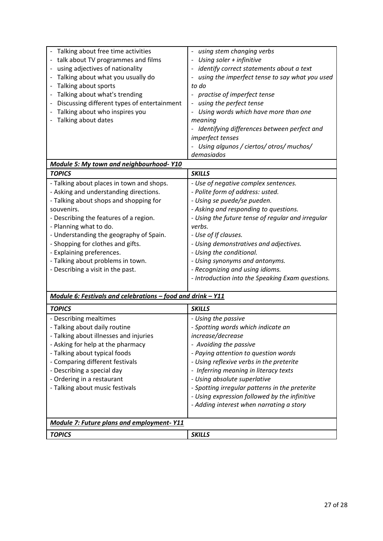| Talking about free time activities<br>talk about TV programmes and films<br>using adjectives of nationality<br>Talking about what you usually do<br>Talking about sports<br>Talking about what's trending<br>Discussing different types of entertainment<br>Talking about who inspires you<br>Talking about dates                                                                                      | using stem changing verbs<br>Using soler + infinitive<br>identify correct statements about a text<br>using the imperfect tense to say what you used<br>to do<br>practise of imperfect tense<br>using the perfect tense<br>Using words which have more than one<br>meaning                                                                                                                                                              |
|--------------------------------------------------------------------------------------------------------------------------------------------------------------------------------------------------------------------------------------------------------------------------------------------------------------------------------------------------------------------------------------------------------|----------------------------------------------------------------------------------------------------------------------------------------------------------------------------------------------------------------------------------------------------------------------------------------------------------------------------------------------------------------------------------------------------------------------------------------|
| Module 5: My town and neighbourhood-Y10                                                                                                                                                                                                                                                                                                                                                                | - Identifying differences between perfect and<br>imperfect tenses<br>Using algunos / ciertos/ otros/ muchos/<br>demasiados                                                                                                                                                                                                                                                                                                             |
| <b>TOPICS</b>                                                                                                                                                                                                                                                                                                                                                                                          | <b>SKILLS</b>                                                                                                                                                                                                                                                                                                                                                                                                                          |
| - Talking about places in town and shops.<br>- Asking and understanding directions.<br>- Talking about shops and shopping for<br>souvenirs.<br>- Describing the features of a region.<br>- Planning what to do.<br>- Understanding the geography of Spain.<br>- Shopping for clothes and gifts.<br>- Explaining preferences.<br>- Talking about problems in town.<br>- Describing a visit in the past. | - Use of negative complex sentences.<br>- Polite form of address: usted.<br>- Using se puede/se pueden.<br>- Asking and responding to questions.<br>- Using the future tense of regular and irregular<br>verbs.<br>- Use of If clauses.<br>- Using demonstratives and adjectives.<br>- Using the conditional.<br>- Using synonyms and antonyms.<br>- Recognizing and using idioms.<br>- Introduction into the Speaking Exam questions. |
| Module 6: Festivals and celebrations - food and drink - Y11                                                                                                                                                                                                                                                                                                                                            |                                                                                                                                                                                                                                                                                                                                                                                                                                        |
| <b>TOPICS</b>                                                                                                                                                                                                                                                                                                                                                                                          | <b>SKILLS</b>                                                                                                                                                                                                                                                                                                                                                                                                                          |
| - Describing mealtimes<br>- Talking about daily routine<br>- Talking about illnesses and injuries<br>- Asking for help at the pharmacy<br>- Talking about typical foods<br>- Comparing different festivals<br>- Describing a special day<br>- Ordering in a restaurant<br>- Talking about music festivals                                                                                              | - Using the passive<br>- Spotting words which indicate an<br>increase/decrease<br>- Avoiding the passive<br>- Paying attention to question words<br>- Using reflexive verbs in the preterite<br>- Inferring meaning in literacy texts<br>- Using absolute superlative<br>- Spotting irregular patterns in the preterite<br>- Using expression followed by the infinitive<br>- Adding interest when narrating a story                   |
| <b>Module 7: Future plans and employment-Y11</b>                                                                                                                                                                                                                                                                                                                                                       |                                                                                                                                                                                                                                                                                                                                                                                                                                        |
| <b>TOPICS</b>                                                                                                                                                                                                                                                                                                                                                                                          | <b>SKILLS</b>                                                                                                                                                                                                                                                                                                                                                                                                                          |